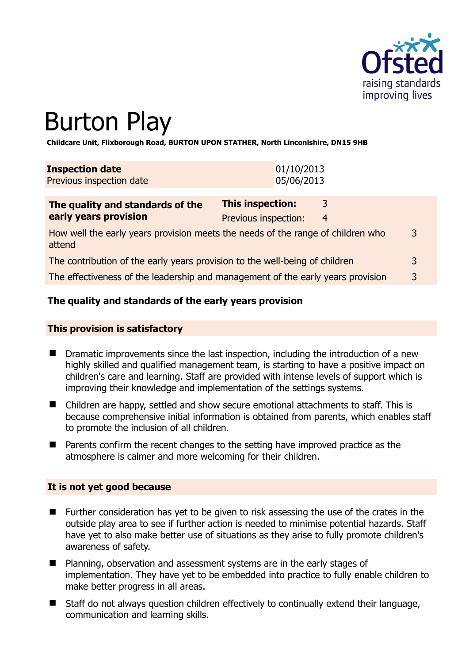

# Burton Play

**Childcare Unit, Flixborough Road, BURTON UPON STATHER, North Linconlshire, DN15 9HB** 

| <b>Inspection date</b><br>Previous inspection date | 01/10/2013<br>05/06/2013 |                |  |
|----------------------------------------------------|--------------------------|----------------|--|
| The quality and standards of the                   | This inspection:         | $\overline{3}$ |  |
| early years provision                              | Previous inspection:     | $\overline{4}$ |  |

How well the early years provision meets the needs of the range of children who attend 3

The contribution of the early years provision to the well-being of children 3 The effectiveness of the leadership and management of the early years provision 3

## **The quality and standards of the early years provision**

#### **This provision is satisfactory**

- **Dramatic improvements since the last inspection, including the introduction of a new** highly skilled and qualified management team, is starting to have a positive impact on children's care and learning. Staff are provided with intense levels of support which is improving their knowledge and implementation of the settings systems.
- Children are happy, settled and show secure emotional attachments to staff. This is because comprehensive initial information is obtained from parents, which enables staff to promote the inclusion of all children.
- Parents confirm the recent changes to the setting have improved practice as the atmosphere is calmer and more welcoming for their children.

#### **It is not yet good because**

- **Further consideration has yet to be given to risk assessing the use of the crates in the** outside play area to see if further action is needed to minimise potential hazards. Staff have yet to also make better use of situations as they arise to fully promote children's awareness of safety.
- Planning, observation and assessment systems are in the early stages of implementation. They have yet to be embedded into practice to fully enable children to make better progress in all areas.
- Staff do not always question children effectively to continually extend their language, communication and learning skills.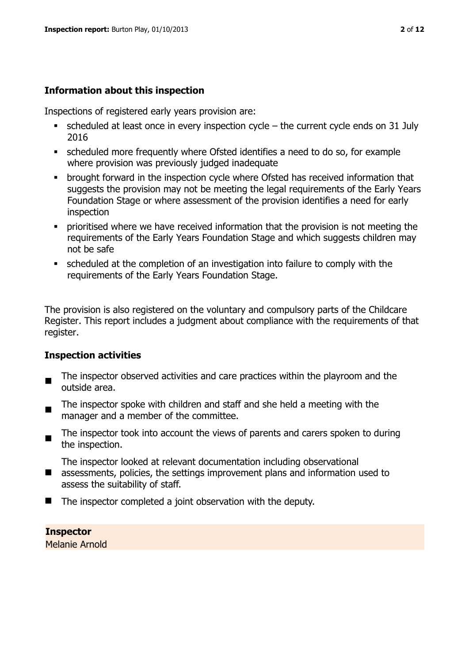## **Information about this inspection**

Inspections of registered early years provision are:

- $\bullet$  scheduled at least once in every inspection cycle the current cycle ends on 31 July 2016
- scheduled more frequently where Ofsted identifies a need to do so, for example where provision was previously judged inadequate
- **•** brought forward in the inspection cycle where Ofsted has received information that suggests the provision may not be meeting the legal requirements of the Early Years Foundation Stage or where assessment of the provision identifies a need for early inspection
- **•** prioritised where we have received information that the provision is not meeting the requirements of the Early Years Foundation Stage and which suggests children may not be safe
- scheduled at the completion of an investigation into failure to comply with the requirements of the Early Years Foundation Stage.

The provision is also registered on the voluntary and compulsory parts of the Childcare Register. This report includes a judgment about compliance with the requirements of that register.

## **Inspection activities**

- $\blacksquare$ The inspector observed activities and care practices within the playroom and the outside area.
- The inspector spoke with children and staff and she held a meeting with the manager and a member of the committee.
- $\blacksquare$ The inspector took into account the views of parents and carers spoken to during the inspection.

The inspector looked at relevant documentation including observational

- assessments, policies, the settings improvement plans and information used to assess the suitability of staff.
- The inspector completed a joint observation with the deputy.

**Inspector**  Melanie Arnold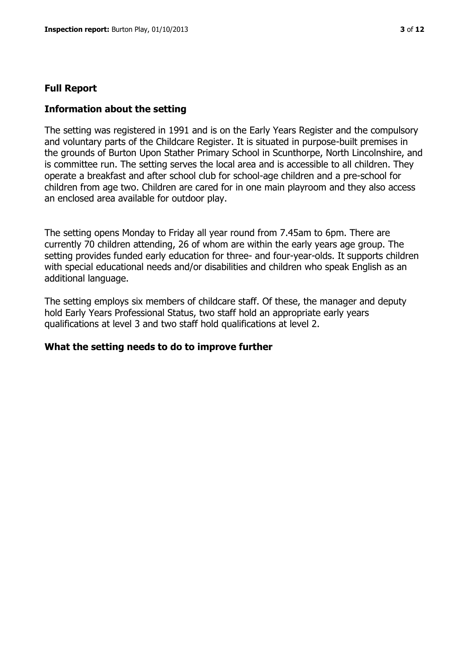#### **Full Report**

#### **Information about the setting**

The setting was registered in 1991 and is on the Early Years Register and the compulsory and voluntary parts of the Childcare Register. It is situated in purpose-built premises in the grounds of Burton Upon Stather Primary School in Scunthorpe, North Lincolnshire, and is committee run. The setting serves the local area and is accessible to all children. They operate a breakfast and after school club for school-age children and a pre-school for children from age two. Children are cared for in one main playroom and they also access an enclosed area available for outdoor play.

The setting opens Monday to Friday all year round from 7.45am to 6pm. There are currently 70 children attending, 26 of whom are within the early years age group. The setting provides funded early education for three- and four-year-olds. It supports children with special educational needs and/or disabilities and children who speak English as an additional language.

The setting employs six members of childcare staff. Of these, the manager and deputy hold Early Years Professional Status, two staff hold an appropriate early years qualifications at level 3 and two staff hold qualifications at level 2.

#### **What the setting needs to do to improve further**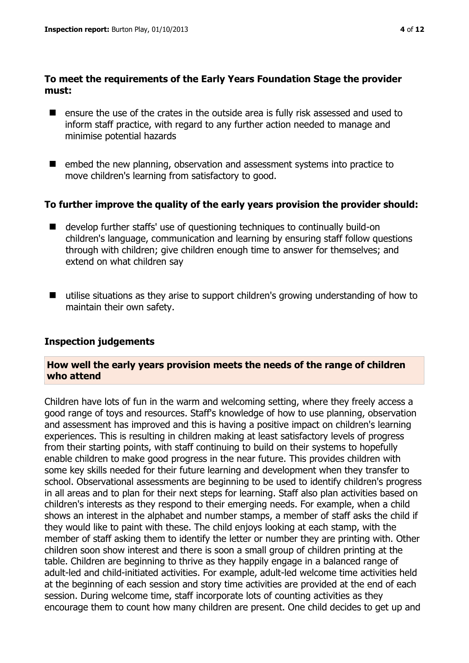## **To meet the requirements of the Early Years Foundation Stage the provider must:**

- ensure the use of the crates in the outside area is fully risk assessed and used to inform staff practice, with regard to any further action needed to manage and minimise potential hazards
- embed the new planning, observation and assessment systems into practice to move children's learning from satisfactory to good.

## **To further improve the quality of the early years provision the provider should:**

- develop further staffs' use of questioning techniques to continually build-on children's language, communication and learning by ensuring staff follow questions through with children; give children enough time to answer for themselves; and extend on what children say
- utilise situations as they arise to support children's growing understanding of how to maintain their own safety.

## **Inspection judgements**

## **How well the early years provision meets the needs of the range of children who attend**

Children have lots of fun in the warm and welcoming setting, where they freely access a good range of toys and resources. Staff's knowledge of how to use planning, observation and assessment has improved and this is having a positive impact on children's learning experiences. This is resulting in children making at least satisfactory levels of progress from their starting points, with staff continuing to build on their systems to hopefully enable children to make good progress in the near future. This provides children with some key skills needed for their future learning and development when they transfer to school. Observational assessments are beginning to be used to identify children's progress in all areas and to plan for their next steps for learning. Staff also plan activities based on children's interests as they respond to their emerging needs. For example, when a child shows an interest in the alphabet and number stamps, a member of staff asks the child if they would like to paint with these. The child enjoys looking at each stamp, with the member of staff asking them to identify the letter or number they are printing with. Other children soon show interest and there is soon a small group of children printing at the table. Children are beginning to thrive as they happily engage in a balanced range of adult-led and child-initiated activities. For example, adult-led welcome time activities held at the beginning of each session and story time activities are provided at the end of each session. During welcome time, staff incorporate lots of counting activities as they encourage them to count how many children are present. One child decides to get up and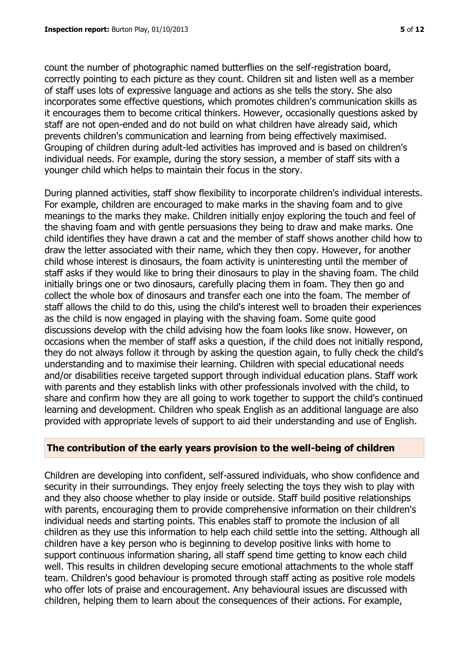count the number of photographic named butterflies on the self-registration board, correctly pointing to each picture as they count. Children sit and listen well as a member of staff uses lots of expressive language and actions as she tells the story. She also incorporates some effective questions, which promotes children's communication skills as it encourages them to become critical thinkers. However, occasionally questions asked by staff are not open-ended and do not build on what children have already said, which prevents children's communication and learning from being effectively maximised. Grouping of children during adult-led activities has improved and is based on children's individual needs. For example, during the story session, a member of staff sits with a younger child which helps to maintain their focus in the story.

During planned activities, staff show flexibility to incorporate children's individual interests. For example, children are encouraged to make marks in the shaving foam and to give meanings to the marks they make. Children initially enjoy exploring the touch and feel of the shaving foam and with gentle persuasions they being to draw and make marks. One child identifies they have drawn a cat and the member of staff shows another child how to draw the letter associated with their name, which they then copy. However, for another child whose interest is dinosaurs, the foam activity is uninteresting until the member of staff asks if they would like to bring their dinosaurs to play in the shaving foam. The child initially brings one or two dinosaurs, carefully placing them in foam. They then go and collect the whole box of dinosaurs and transfer each one into the foam. The member of staff allows the child to do this, using the child's interest well to broaden their experiences as the child is now engaged in playing with the shaving foam. Some quite good discussions develop with the child advising how the foam looks like snow. However, on occasions when the member of staff asks a question, if the child does not initially respond, they do not always follow it through by asking the question again, to fully check the child's understanding and to maximise their learning. Children with special educational needs and/or disabilities receive targeted support through individual education plans. Staff work with parents and they establish links with other professionals involved with the child, to share and confirm how they are all going to work together to support the child's continued learning and development. Children who speak English as an additional language are also provided with appropriate levels of support to aid their understanding and use of English.

#### **The contribution of the early years provision to the well-being of children**

Children are developing into confident, self-assured individuals, who show confidence and security in their surroundings. They enjoy freely selecting the toys they wish to play with and they also choose whether to play inside or outside. Staff build positive relationships with parents, encouraging them to provide comprehensive information on their children's individual needs and starting points. This enables staff to promote the inclusion of all children as they use this information to help each child settle into the setting. Although all children have a key person who is beginning to develop positive links with home to support continuous information sharing, all staff spend time getting to know each child well. This results in children developing secure emotional attachments to the whole staff team. Children's good behaviour is promoted through staff acting as positive role models who offer lots of praise and encouragement. Any behavioural issues are discussed with children, helping them to learn about the consequences of their actions. For example,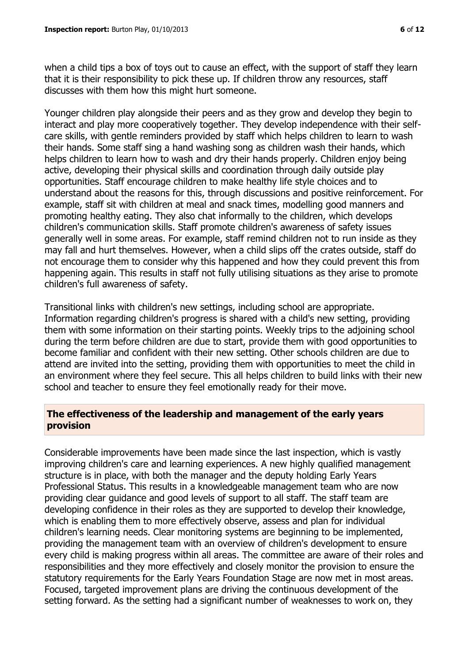when a child tips a box of toys out to cause an effect, with the support of staff they learn that it is their responsibility to pick these up. If children throw any resources, staff discusses with them how this might hurt someone.

Younger children play alongside their peers and as they grow and develop they begin to interact and play more cooperatively together. They develop independence with their selfcare skills, with gentle reminders provided by staff which helps children to learn to wash their hands. Some staff sing a hand washing song as children wash their hands, which helps children to learn how to wash and dry their hands properly. Children enjoy being active, developing their physical skills and coordination through daily outside play opportunities. Staff encourage children to make healthy life style choices and to understand about the reasons for this, through discussions and positive reinforcement. For example, staff sit with children at meal and snack times, modelling good manners and promoting healthy eating. They also chat informally to the children, which develops children's communication skills. Staff promote children's awareness of safety issues generally well in some areas. For example, staff remind children not to run inside as they may fall and hurt themselves. However, when a child slips off the crates outside, staff do not encourage them to consider why this happened and how they could prevent this from happening again. This results in staff not fully utilising situations as they arise to promote children's full awareness of safety.

Transitional links with children's new settings, including school are appropriate. Information regarding children's progress is shared with a child's new setting, providing them with some information on their starting points. Weekly trips to the adjoining school during the term before children are due to start, provide them with good opportunities to become familiar and confident with their new setting. Other schools children are due to attend are invited into the setting, providing them with opportunities to meet the child in an environment where they feel secure. This all helps children to build links with their new school and teacher to ensure they feel emotionally ready for their move.

## **The effectiveness of the leadership and management of the early years provision**

Considerable improvements have been made since the last inspection, which is vastly improving children's care and learning experiences. A new highly qualified management structure is in place, with both the manager and the deputy holding Early Years Professional Status. This results in a knowledgeable management team who are now providing clear guidance and good levels of support to all staff. The staff team are developing confidence in their roles as they are supported to develop their knowledge, which is enabling them to more effectively observe, assess and plan for individual children's learning needs. Clear monitoring systems are beginning to be implemented, providing the management team with an overview of children's development to ensure every child is making progress within all areas. The committee are aware of their roles and responsibilities and they more effectively and closely monitor the provision to ensure the statutory requirements for the Early Years Foundation Stage are now met in most areas. Focused, targeted improvement plans are driving the continuous development of the setting forward. As the setting had a significant number of weaknesses to work on, they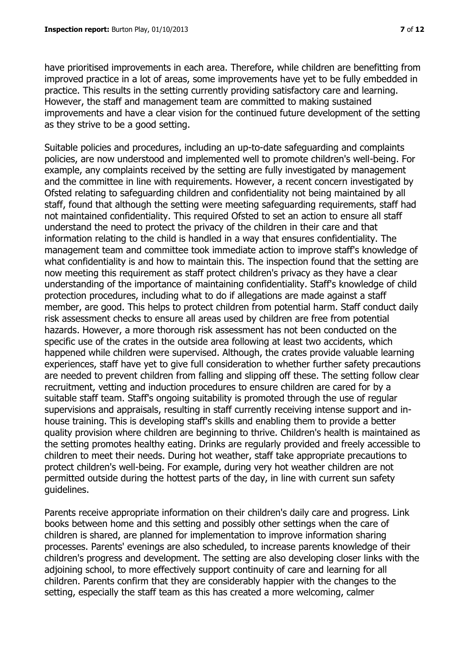have prioritised improvements in each area. Therefore, while children are benefitting from improved practice in a lot of areas, some improvements have yet to be fully embedded in practice. This results in the setting currently providing satisfactory care and learning. However, the staff and management team are committed to making sustained improvements and have a clear vision for the continued future development of the setting as they strive to be a good setting.

Suitable policies and procedures, including an up-to-date safeguarding and complaints policies, are now understood and implemented well to promote children's well-being. For example, any complaints received by the setting are fully investigated by management and the committee in line with requirements. However, a recent concern investigated by Ofsted relating to safeguarding children and confidentiality not being maintained by all staff, found that although the setting were meeting safeguarding requirements, staff had not maintained confidentiality. This required Ofsted to set an action to ensure all staff understand the need to protect the privacy of the children in their care and that information relating to the child is handled in a way that ensures confidentiality. The management team and committee took immediate action to improve staff's knowledge of what confidentiality is and how to maintain this. The inspection found that the setting are now meeting this requirement as staff protect children's privacy as they have a clear understanding of the importance of maintaining confidentiality. Staff's knowledge of child protection procedures, including what to do if allegations are made against a staff member, are good. This helps to protect children from potential harm. Staff conduct daily risk assessment checks to ensure all areas used by children are free from potential hazards. However, a more thorough risk assessment has not been conducted on the specific use of the crates in the outside area following at least two accidents, which happened while children were supervised. Although, the crates provide valuable learning experiences, staff have yet to give full consideration to whether further safety precautions are needed to prevent children from falling and slipping off these. The setting follow clear recruitment, vetting and induction procedures to ensure children are cared for by a suitable staff team. Staff's ongoing suitability is promoted through the use of regular supervisions and appraisals, resulting in staff currently receiving intense support and inhouse training. This is developing staff's skills and enabling them to provide a better quality provision where children are beginning to thrive. Children's health is maintained as the setting promotes healthy eating. Drinks are regularly provided and freely accessible to children to meet their needs. During hot weather, staff take appropriate precautions to protect children's well-being. For example, during very hot weather children are not permitted outside during the hottest parts of the day, in line with current sun safety guidelines.

Parents receive appropriate information on their children's daily care and progress. Link books between home and this setting and possibly other settings when the care of children is shared, are planned for implementation to improve information sharing processes. Parents' evenings are also scheduled, to increase parents knowledge of their children's progress and development. The setting are also developing closer links with the adjoining school, to more effectively support continuity of care and learning for all children. Parents confirm that they are considerably happier with the changes to the setting, especially the staff team as this has created a more welcoming, calmer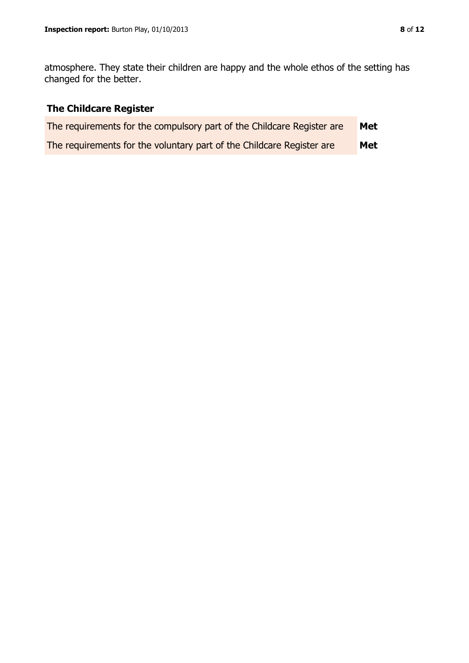atmosphere. They state their children are happy and the whole ethos of the setting has changed for the better.

# **The Childcare Register**

| The requirements for the compulsory part of the Childcare Register are | Met |
|------------------------------------------------------------------------|-----|
| The requirements for the voluntary part of the Childcare Register are  | Met |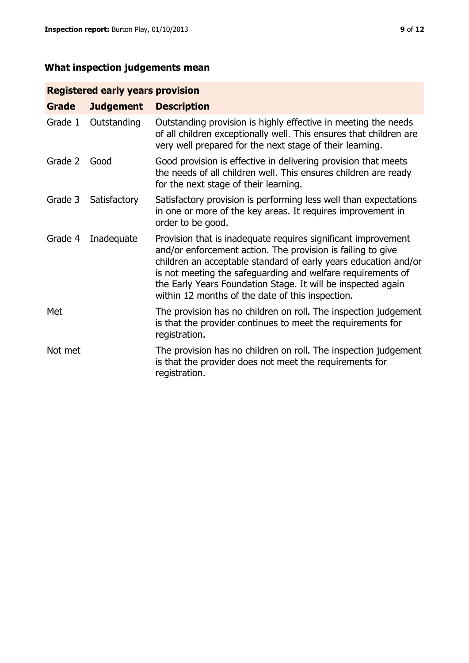## **What inspection judgements mean**

## **Registered early years provision**

| <b>Grade</b> | <b>Judgement</b> | <b>Description</b>                                                                                                                                                                                                                                                                                                                                                                 |
|--------------|------------------|------------------------------------------------------------------------------------------------------------------------------------------------------------------------------------------------------------------------------------------------------------------------------------------------------------------------------------------------------------------------------------|
| Grade 1      | Outstanding      | Outstanding provision is highly effective in meeting the needs<br>of all children exceptionally well. This ensures that children are<br>very well prepared for the next stage of their learning.                                                                                                                                                                                   |
| Grade 2      | Good             | Good provision is effective in delivering provision that meets<br>the needs of all children well. This ensures children are ready<br>for the next stage of their learning.                                                                                                                                                                                                         |
| Grade 3      | Satisfactory     | Satisfactory provision is performing less well than expectations<br>in one or more of the key areas. It requires improvement in<br>order to be good.                                                                                                                                                                                                                               |
| Grade 4      | Inadequate       | Provision that is inadequate requires significant improvement<br>and/or enforcement action. The provision is failing to give<br>children an acceptable standard of early years education and/or<br>is not meeting the safeguarding and welfare requirements of<br>the Early Years Foundation Stage. It will be inspected again<br>within 12 months of the date of this inspection. |
| Met          |                  | The provision has no children on roll. The inspection judgement<br>is that the provider continues to meet the requirements for<br>registration.                                                                                                                                                                                                                                    |
| Not met      |                  | The provision has no children on roll. The inspection judgement<br>is that the provider does not meet the requirements for<br>registration.                                                                                                                                                                                                                                        |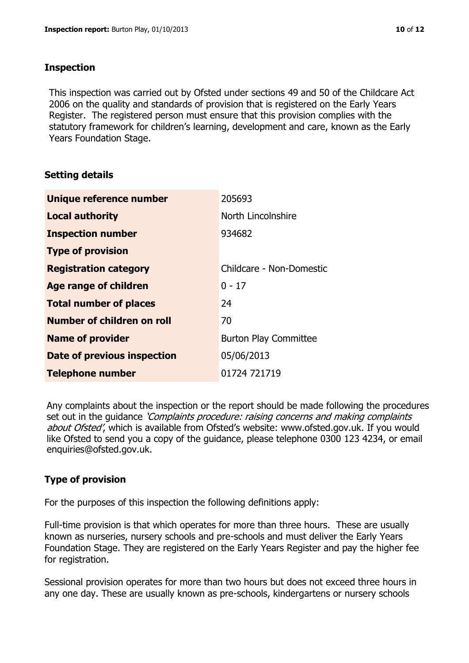#### **Inspection**

This inspection was carried out by Ofsted under sections 49 and 50 of the Childcare Act 2006 on the quality and standards of provision that is registered on the Early Years Register. The registered person must ensure that this provision complies with the statutory framework for children's learning, development and care, known as the Early Years Foundation Stage.

## **Setting details**

| Unique reference number            | 205693                       |
|------------------------------------|------------------------------|
| <b>Local authority</b>             | North Lincolnshire           |
| <b>Inspection number</b>           | 934682                       |
| <b>Type of provision</b>           |                              |
| <b>Registration category</b>       | Childcare - Non-Domestic     |
| Age range of children              | $0 - 17$                     |
| <b>Total number of places</b>      | 24                           |
| Number of children on roll         | 70                           |
| <b>Name of provider</b>            | <b>Burton Play Committee</b> |
| <b>Date of previous inspection</b> | 05/06/2013                   |
| <b>Telephone number</b>            | 01724 721719                 |

Any complaints about the inspection or the report should be made following the procedures set out in the guidance *'Complaints procedure: raising concerns and making complaints* about Ofsted', which is available from Ofsted's website: www.ofsted.gov.uk. If you would like Ofsted to send you a copy of the guidance, please telephone 0300 123 4234, or email enquiries@ofsted.gov.uk.

## **Type of provision**

For the purposes of this inspection the following definitions apply:

Full-time provision is that which operates for more than three hours. These are usually known as nurseries, nursery schools and pre-schools and must deliver the Early Years Foundation Stage. They are registered on the Early Years Register and pay the higher fee for registration.

Sessional provision operates for more than two hours but does not exceed three hours in any one day. These are usually known as pre-schools, kindergartens or nursery schools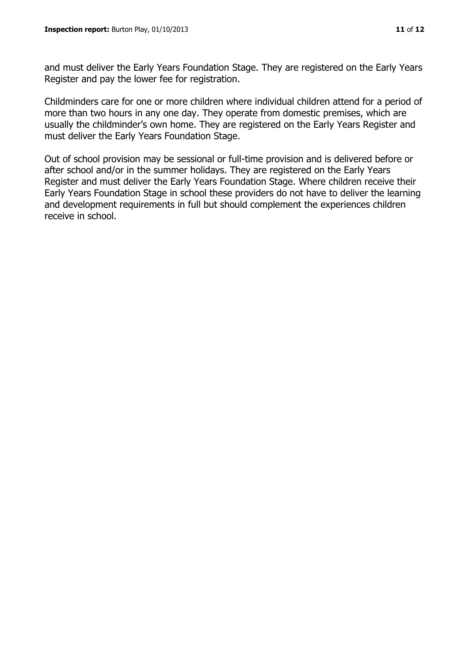and must deliver the Early Years Foundation Stage. They are registered on the Early Years Register and pay the lower fee for registration.

Childminders care for one or more children where individual children attend for a period of more than two hours in any one day. They operate from domestic premises, which are usually the childminder's own home. They are registered on the Early Years Register and must deliver the Early Years Foundation Stage.

Out of school provision may be sessional or full-time provision and is delivered before or after school and/or in the summer holidays. They are registered on the Early Years Register and must deliver the Early Years Foundation Stage. Where children receive their Early Years Foundation Stage in school these providers do not have to deliver the learning and development requirements in full but should complement the experiences children receive in school.